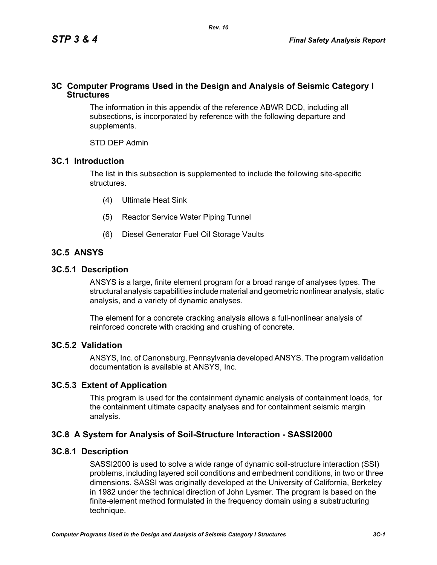# **3C Computer Programs Used in the Design and Analysis of Seismic Category I Structures**

The information in this appendix of the reference ABWR DCD, including all subsections, is incorporated by reference with the following departure and supplements.

STD DEP Admin

# **3C.1 Introduction**

The list in this subsection is supplemented to include the following site-specific structures.

- (4) Ultimate Heat Sink
- (5) Reactor Service Water Piping Tunnel
- (6) Diesel Generator Fuel Oil Storage Vaults

# **3C.5 ANSYS**

## **3C.5.1 Description**

ANSYS is a large, finite element program for a broad range of analyses types. The structural analysis capabilities include material and geometric nonlinear analysis, static analysis, and a variety of dynamic analyses.

The element for a concrete cracking analysis allows a full-nonlinear analysis of reinforced concrete with cracking and crushing of concrete.

# **3C.5.2 Validation**

ANSYS, Inc. of Canonsburg, Pennsylvania developed ANSYS. The program validation documentation is available at ANSYS, Inc.

# **3C.5.3 Extent of Application**

This program is used for the containment dynamic analysis of containment loads, for the containment ultimate capacity analyses and for containment seismic margin analysis.

# **3C.8 A System for Analysis of Soil-Structure Interaction - SASSI2000**

# **3C.8.1 Description**

SASSI2000 is used to solve a wide range of dynamic soil-structure interaction (SSI) problems, including layered soil conditions and embedment conditions, in two or three dimensions. SASSI was originally developed at the University of California, Berkeley in 1982 under the technical direction of John Lysmer. The program is based on the finite-element method formulated in the frequency domain using a substructuring technique.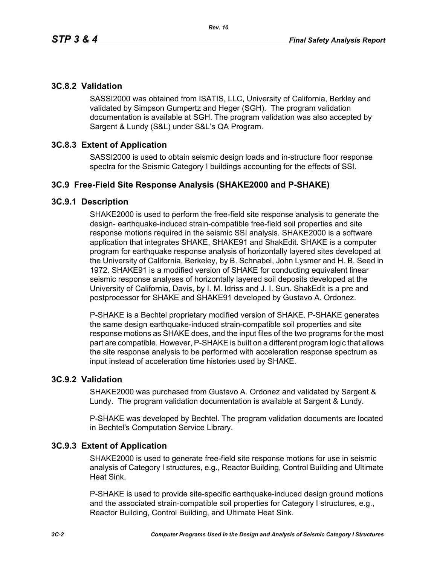# **3C.8.2 Validation**

SASSI2000 was obtained from ISATIS, LLC, University of California, Berkley and validated by Simpson Gumpertz and Heger (SGH). The program validation documentation is available at SGH. The program validation was also accepted by Sargent & Lundy (S&L) under S&L's QA Program.

# **3C.8.3 Extent of Application**

SASSI2000 is used to obtain seismic design loads and in-structure floor response spectra for the Seismic Category I buildings accounting for the effects of SSI.

## **3C.9 Free-Field Site Response Analysis (SHAKE2000 and P-SHAKE)**

## **3C.9.1 Description**

SHAKE2000 is used to perform the free-field site response analysis to generate the design- earthquake-induced strain-compatible free-field soil properties and site response motions required in the seismic SSI analysis. SHAKE2000 is a software application that integrates SHAKE, SHAKE91 and ShakEdit. SHAKE is a computer program for earthquake response analysis of horizontally layered sites developed at the University of California, Berkeley, by B. Schnabel, John Lysmer and H. B. Seed in 1972. SHAKE91 is a modified version of SHAKE for conducting equivalent linear seismic response analyses of horizontally layered soil deposits developed at the University of California, Davis, by I. M. Idriss and J. I. Sun. ShakEdit is a pre and postprocessor for SHAKE and SHAKE91 developed by Gustavo A. Ordonez.

P-SHAKE is a Bechtel proprietary modified version of SHAKE. P-SHAKE generates the same design earthquake-induced strain-compatible soil properties and site response motions as SHAKE does, and the input files of the two programs for the most part are compatible. However, P-SHAKE is built on a different program logic that allows the site response analysis to be performed with acceleration response spectrum as input instead of acceleration time histories used by SHAKE.

## **3C.9.2 Validation**

SHAKE2000 was purchased from Gustavo A. Ordonez and validated by Sargent & Lundy. The program validation documentation is available at Sargent & Lundy.

P-SHAKE was developed by Bechtel. The program validation documents are located in Bechtel's Computation Service Library.

## **3C.9.3 Extent of Application**

SHAKE2000 is used to generate free-field site response motions for use in seismic analysis of Category I structures, e.g., Reactor Building, Control Building and Ultimate Heat Sink.

P-SHAKE is used to provide site-specific earthquake-induced design ground motions and the associated strain-compatible soil properties for Category I structures, e.g., Reactor Building, Control Building, and Ultimate Heat Sink.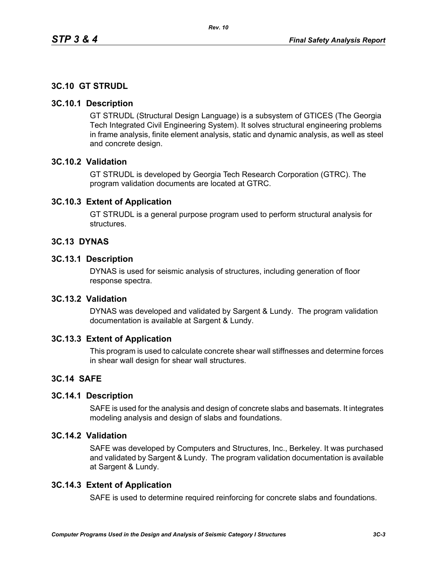# **3C.10 GT STRUDL**

## **3C.10.1 Description**

GT STRUDL (Structural Design Language) is a subsystem of GTICES (The Georgia Tech Integrated Civil Engineering System). It solves structural engineering problems in frame analysis, finite element analysis, static and dynamic analysis, as well as steel and concrete design.

## **3C.10.2 Validation**

GT STRUDL is developed by Georgia Tech Research Corporation (GTRC). The program validation documents are located at GTRC.

## **3C.10.3 Extent of Application**

GT STRUDL is a general purpose program used to perform structural analysis for structures.

## **3C.13 DYNAS**

## **3C.13.1 Description**

DYNAS is used for seismic analysis of structures, including generation of floor response spectra.

## **3C.13.2 Validation**

DYNAS was developed and validated by Sargent & Lundy. The program validation documentation is available at Sargent & Lundy.

## **3C.13.3 Extent of Application**

This program is used to calculate concrete shear wall stiffnesses and determine forces in shear wall design for shear wall structures.

# **3C.14 SAFE**

## **3C.14.1 Description**

SAFE is used for the analysis and design of concrete slabs and basemats. It integrates modeling analysis and design of slabs and foundations.

# **3C.14.2 Validation**

SAFE was developed by Computers and Structures, Inc., Berkeley. It was purchased and validated by Sargent & Lundy. The program validation documentation is available at Sargent & Lundy.

## **3C.14.3 Extent of Application**

SAFE is used to determine required reinforcing for concrete slabs and foundations.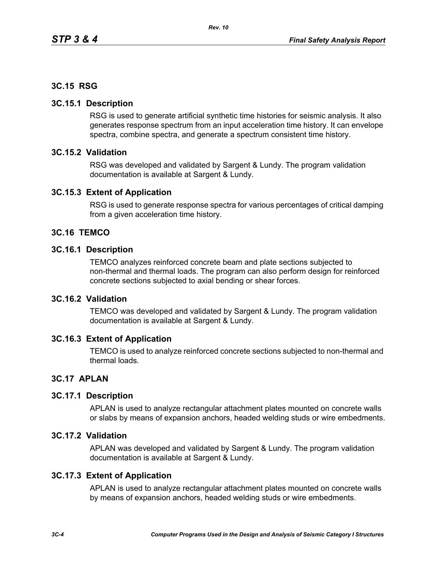# **3C.15 RSG**

## **3C.15.1 Description**

RSG is used to generate artificial synthetic time histories for seismic analysis. It also generates response spectrum from an input acceleration time history. It can envelope spectra, combine spectra, and generate a spectrum consistent time history.

## **3C.15.2 Validation**

RSG was developed and validated by Sargent & Lundy. The program validation documentation is available at Sargent & Lundy.

## **3C.15.3 Extent of Application**

RSG is used to generate response spectra for various percentages of critical damping from a given acceleration time history.

## **3C.16 TEMCO**

#### **3C.16.1 Description**

TEMCO analyzes reinforced concrete beam and plate sections subjected to non-thermal and thermal loads. The program can also perform design for reinforced concrete sections subjected to axial bending or shear forces.

# **3C.16.2 Validation**

TEMCO was developed and validated by Sargent & Lundy. The program validation documentation is available at Sargent & Lundy.

## **3C.16.3 Extent of Application**

TEMCO is used to analyze reinforced concrete sections subjected to non-thermal and thermal loads.

## **3C.17 APLAN**

#### **3C.17.1 Description**

APLAN is used to analyze rectangular attachment plates mounted on concrete walls or slabs by means of expansion anchors, headed welding studs or wire embedments.

## **3C.17.2 Validation**

APLAN was developed and validated by Sargent & Lundy. The program validation documentation is available at Sargent & Lundy.

## **3C.17.3 Extent of Application**

APLAN is used to analyze rectangular attachment plates mounted on concrete walls by means of expansion anchors, headed welding studs or wire embedments.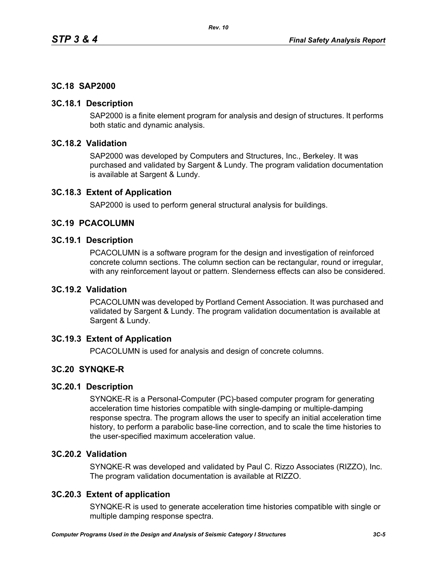# **3C.18 SAP2000**

## **3C.18.1 Description**

SAP2000 is a finite element program for analysis and design of structures. It performs both static and dynamic analysis.

# **3C.18.2 Validation**

SAP2000 was developed by Computers and Structures, Inc., Berkeley. It was purchased and validated by Sargent & Lundy. The program validation documentation is available at Sargent & Lundy.

## **3C.18.3 Extent of Application**

SAP2000 is used to perform general structural analysis for buildings.

## **3C.19 PCACOLUMN**

## **3C.19.1 Description**

PCACOLUMN is a software program for the design and investigation of reinforced concrete column sections. The column section can be rectangular, round or irregular, with any reinforcement layout or pattern. Slenderness effects can also be considered.

## **3C.19.2 Validation**

PCACOLUMN was developed by Portland Cement Association. It was purchased and validated by Sargent & Lundy. The program validation documentation is available at Sargent & Lundy.

# **3C.19.3 Extent of Application**

PCACOLUMN is used for analysis and design of concrete columns.

# **3C.20 SYNQKE-R**

## **3C.20.1 Description**

SYNQKE-R is a Personal-Computer (PC)-based computer program for generating acceleration time histories compatible with single-damping or multiple-damping response spectra. The program allows the user to specify an initial acceleration time history, to perform a parabolic base-line correction, and to scale the time histories to the user-specified maximum acceleration value.

# **3C.20.2 Validation**

SYNQKE-R was developed and validated by Paul C. Rizzo Associates (RIZZO), Inc. The program validation documentation is available at RIZZO.

# **3C.20.3 Extent of application**

SYNQKE-R is used to generate acceleration time histories compatible with single or multiple damping response spectra.